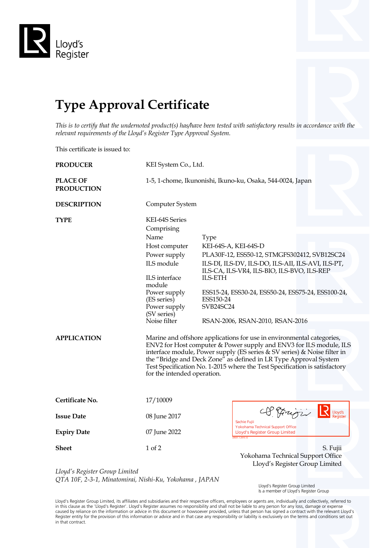

## **Type Approval Certificate**

*This is to certify that the undernoted product(s) has/have been tested with satisfactory results in accordance with the relevant requirements of the Lloyd's Register Type Approval System.*

This certificate is issued to:

| <b>PRODUCER</b>                      | KEI System Co., Ltd.                                                                                                                                                                                                                                                                                                                                                                                     |                                                                                                                                                                                                                                                                                                                      |  |  |  |  |
|--------------------------------------|----------------------------------------------------------------------------------------------------------------------------------------------------------------------------------------------------------------------------------------------------------------------------------------------------------------------------------------------------------------------------------------------------------|----------------------------------------------------------------------------------------------------------------------------------------------------------------------------------------------------------------------------------------------------------------------------------------------------------------------|--|--|--|--|
| <b>PLACE OF</b><br><b>PRODUCTION</b> | 1-5, 1-chome, Ikunonishi, Ikuno-ku, Osaka, 544-0024, Japan                                                                                                                                                                                                                                                                                                                                               |                                                                                                                                                                                                                                                                                                                      |  |  |  |  |
| <b>DESCRIPTION</b>                   | Computer System                                                                                                                                                                                                                                                                                                                                                                                          |                                                                                                                                                                                                                                                                                                                      |  |  |  |  |
| TYPE                                 | KEI-64S Series<br>Comprising<br>Name<br>Host computer<br>Power supply<br>ILS module<br>ILS interface<br>module<br>Power supply<br>(ES series)<br>Power supply<br>(SV series)<br>Noise filter                                                                                                                                                                                                             | Type<br>KEI-64S-A, KEI-64S-D<br>PLA30F-12, ESS50-12, STMGFS302412, SVB12SC24<br>ILS-DI, ILS-DV, ILS-DO, ILS-AII, ILS-AVI, ILS-PT,<br>ILS-CA, ILS-VR4, ILS-BIO, ILS-BVO, ILS-REP<br><b>ILS-ETH</b><br>ESS15-24, ESS30-24, ESS50-24, ESS75-24, ESS100-24,<br>ESS150-24<br>SVB24SC24<br>RSAN-2006, RSAN-2010, RSAN-2016 |  |  |  |  |
| <b>APPLICATION</b>                   | Marine and offshore applications for use in environmental categories,<br>ENV2 for Host computer & Power supply and ENV3 for ILS module, ILS<br>interface module, Power supply (ES series & SV series) & Noise filter in<br>the "Bridge and Deck Zone" as defined in LR Type Approval System<br>Test Specification No. 1-2015 where the Test Specification is satisfactory<br>for the intended operation. |                                                                                                                                                                                                                                                                                                                      |  |  |  |  |
| Certificate No.                      | 17/10009                                                                                                                                                                                                                                                                                                                                                                                                 |                                                                                                                                                                                                                                                                                                                      |  |  |  |  |
| <b>Issue Date</b>                    | 08 June 2017                                                                                                                                                                                                                                                                                                                                                                                             | OP Frigir<br>Lloyd's<br>Sachie Fujii                                                                                                                                                                                                                                                                                 |  |  |  |  |
| <b>Expiry Date</b>                   | 07 June 2022                                                                                                                                                                                                                                                                                                                                                                                             | Yokohama Technical Support Office<br><b>Lloyd's Register Group Limited</b><br>R031.1.2015.12                                                                                                                                                                                                                         |  |  |  |  |
| <b>Sheet</b>                         | 1 of 2                                                                                                                                                                                                                                                                                                                                                                                                   | S. Fujii<br>Yokohama Technical Support Office<br>Lloyd's Register Group Limited                                                                                                                                                                                                                                      |  |  |  |  |
| Lloyd's Register Group Limited       | .                                                                                                                                                                                                                                                                                                                                                                                                        |                                                                                                                                                                                                                                                                                                                      |  |  |  |  |

*QTA 10F, 2-3-1, Minatomirai, Nishi-Ku, Yokohama , JAPAN*

 Lloyd's Register Group Limited Is a member of Lloyd's Register Group

Lloyd's Register Group Limited, its affiliates and subsidiaries and their respective officers, employees or agents are, individually and collectively, referred to<br>in this clause as the 'Lloyd's Register'. Lloyd's Register in that contract.